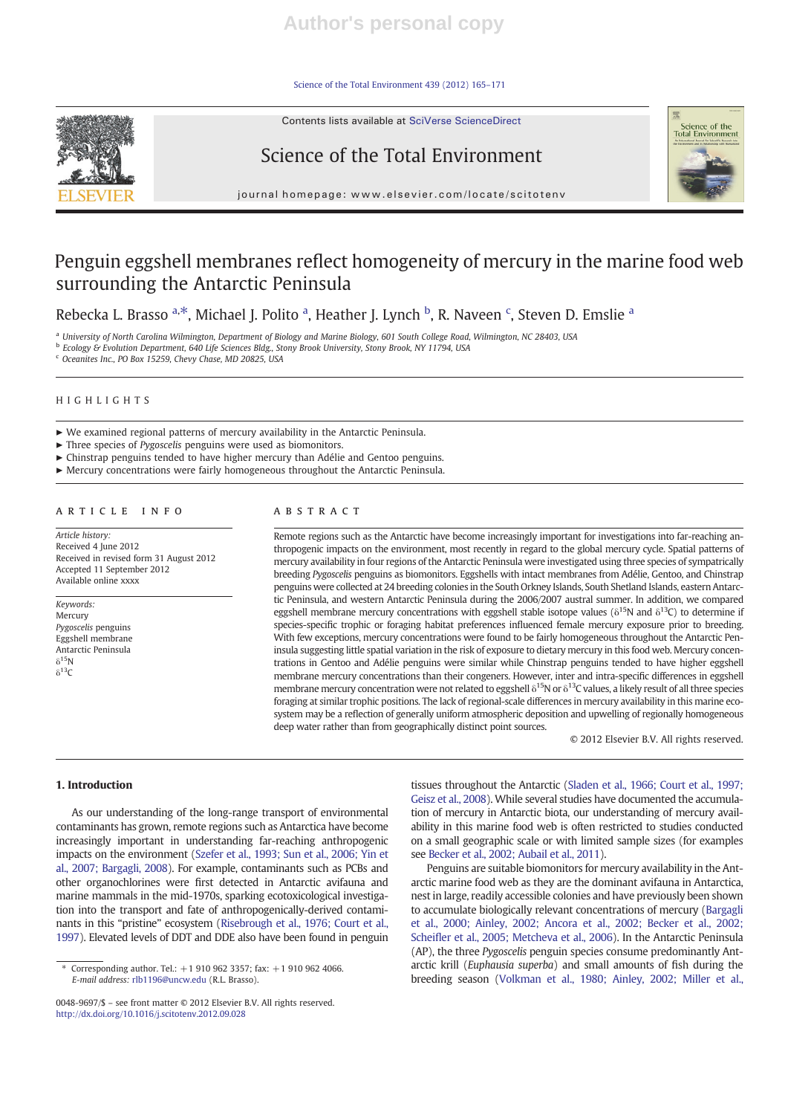Science of the Total Environment 439 (2012) 165–171

Contents lists available at SciVerse ScienceDirect



# Science of the Total Environment



journal homepage: www.elsevier.com/locate/scitotenv

# Penguin eggshell membranes reflect homogeneity of mercury in the marine food web surrounding the Antarctic Peninsula

Rebecka L. Brasso <sup>a,\*</sup>, Michael J. Polito <sup>a</sup>, Heather J. Lynch <sup>b</sup>, R. Naveen <sup>c</sup>, Steven D. Emslie <sup>a</sup>

a University of North Carolina Wilmington, Department of Biology and Marine Biology, 601 South College Road, Wilmington, NC 28403, USA

<sup>b</sup> Ecology & Evolution Department, 640 Life Sciences Bldg., Stony Brook University, Stony Brook, NY 11794, USA

<sup>c</sup> Oceanites Inc., PO Box 15259, Chevy Chase, MD 20825, USA

#### HIGHLIGHTS

- ► We examined regional patterns of mercury availability in the Antarctic Peninsula.
- ► Three species of Pygoscelis penguins were used as biomonitors.
- ► Chinstrap penguins tended to have higher mercury than Adélie and Gentoo penguins.
- ► Mercury concentrations were fairly homogeneous throughout the Antarctic Peninsula.

#### article info abstract

Article history: Received 4 June 2012 Received in revised form 31 August 2012 Accepted 11 September 2012 Available online xxxx

Keywords: Mercury Pygoscelis penguins Eggshell membrane Antarctic Peninsula  $δ<sup>15</sup>N$  $δ<sup>13</sup>C$ 

Remote regions such as the Antarctic have become increasingly important for investigations into far-reaching anthropogenic impacts on the environment, most recently in regard to the global mercury cycle. Spatial patterns of mercury availability in four regions of the Antarctic Peninsula were investigated using three species of sympatrically breeding Pygoscelis penguins as biomonitors. Eggshells with intact membranes from Adélie, Gentoo, and Chinstrap penguins were collected at 24 breeding colonies in the South Orkney Islands, South Shetland Islands, eastern Antarctic Peninsula, and western Antarctic Peninsula during the 2006/2007 austral summer. In addition, we compared eggshell membrane mercury concentrations with eggshell stable isotope values ( $\delta^{15}N$  and  $\delta^{13}C$ ) to determine if species-specific trophic or foraging habitat preferences influenced female mercury exposure prior to breeding. With few exceptions, mercury concentrations were found to be fairly homogeneous throughout the Antarctic Peninsula suggesting little spatial variation in the risk of exposure to dietary mercury in this food web. Mercury concentrations in Gentoo and Adélie penguins were similar while Chinstrap penguins tended to have higher eggshell membrane mercury concentrations than their congeners. However, inter and intra-specific differences in eggshell membrane mercury concentration were not related to eggshell  $\delta^{15}$ N or  $\delta^{13}$ C values, a likely result of all three species foraging at similar trophic positions. The lack of regional-scale differences in mercury availability in this marine ecosystem may be a reflection of generally uniform atmospheric deposition and upwelling of regionally homogeneous deep water rather than from geographically distinct point sources.

© 2012 Elsevier B.V. All rights reserved.

## 1. Introduction

As our understanding of the long-range transport of environmental contaminants has grown, remote regions such as Antarctica have become increasingly important in understanding far-reaching anthropogenic impacts on the environment (Szefer et al., 1993; Sun et al., 2006; Yin et al., 2007; Bargagli, 2008). For example, contaminants such as PCBs and other organochlorines were first detected in Antarctic avifauna and marine mammals in the mid-1970s, sparking ecotoxicological investigation into the transport and fate of anthropogenically-derived contaminants in this "pristine" ecosystem (Risebrough et al., 1976; Court et al., 1997). Elevated levels of DDT and DDE also have been found in penguin tissues throughout the Antarctic (Sladen et al., 1966; Court et al., 1997; Geisz et al., 2008). While several studies have documented the accumulation of mercury in Antarctic biota, our understanding of mercury availability in this marine food web is often restricted to studies conducted on a small geographic scale or with limited sample sizes (for examples see Becker et al., 2002; Aubail et al., 2011).

Penguins are suitable biomonitors for mercury availability in the Antarctic marine food web as they are the dominant avifauna in Antarctica, nest in large, readily accessible colonies and have previously been shown to accumulate biologically relevant concentrations of mercury (Bargagli et al., 2000; Ainley, 2002; Ancora et al., 2002; Becker et al., 2002; Scheifler et al., 2005; Metcheva et al., 2006). In the Antarctic Peninsula (AP), the three Pygoscelis penguin species consume predominantly Antarctic krill (Euphausia superba) and small amounts of fish during the breeding season (Volkman et al., 1980; Ainley, 2002; Miller et al.,

<sup>⁎</sup> Corresponding author. Tel.: +1 910 962 3357; fax: +1 910 962 4066. E-mail address: rlb1196@uncw.edu (R.L. Brasso).

<sup>0048-9697/\$</sup> – see front matter © 2012 Elsevier B.V. All rights reserved. http://dx.doi.org/10.1016/j.scitotenv.2012.09.028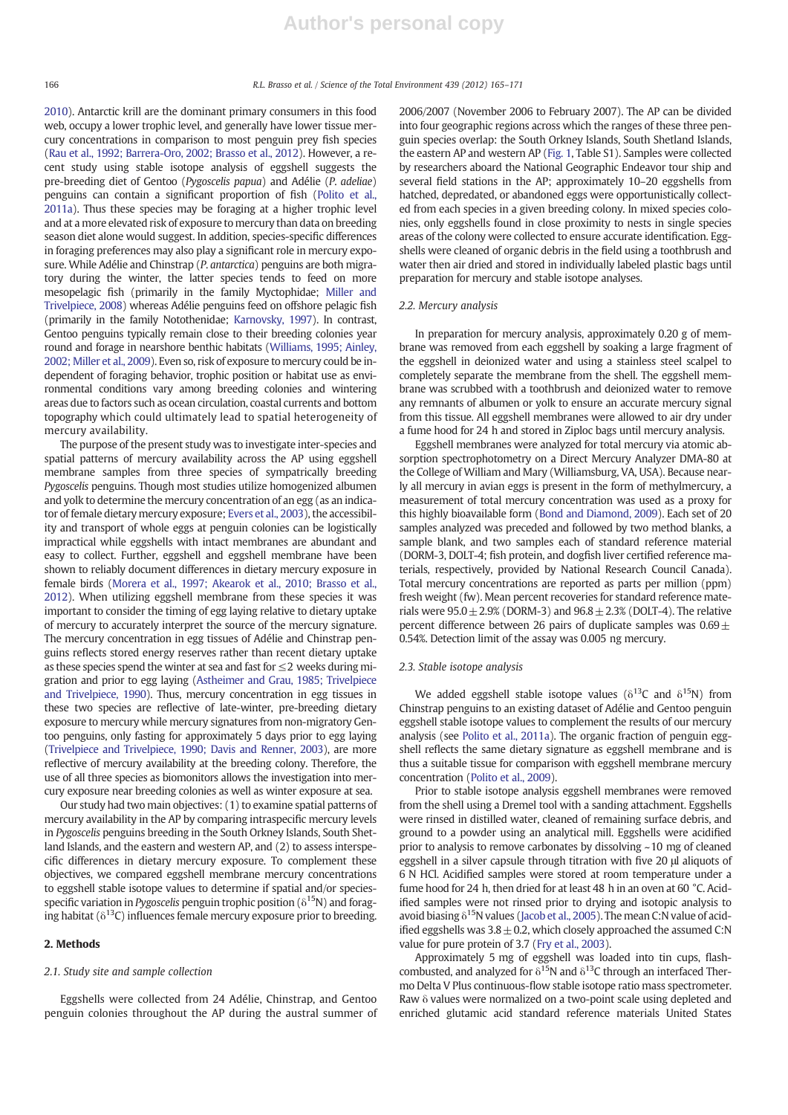2010). Antarctic krill are the dominant primary consumers in this food web, occupy a lower trophic level, and generally have lower tissue mercury concentrations in comparison to most penguin prey fish species (Rau et al., 1992; Barrera-Oro, 2002; Brasso et al., 2012). However, a recent study using stable isotope analysis of eggshell suggests the pre-breeding diet of Gentoo (Pygoscelis papua) and Adélie (P. adeliae) penguins can contain a significant proportion of fish (Polito et al., 2011a). Thus these species may be foraging at a higher trophic level and at a more elevated risk of exposure to mercury than data on breeding season diet alone would suggest. In addition, species-specific differences in foraging preferences may also play a significant role in mercury exposure. While Adélie and Chinstrap (P. antarctica) penguins are both migratory during the winter, the latter species tends to feed on more mesopelagic fish (primarily in the family Myctophidae; Miller and Trivelpiece, 2008) whereas Adélie penguins feed on offshore pelagic fish (primarily in the family Notothenidae; Karnovsky, 1997). In contrast, Gentoo penguins typically remain close to their breeding colonies year round and forage in nearshore benthic habitats (Williams, 1995; Ainley, 2002; Miller et al., 2009). Even so, risk of exposure to mercury could be independent of foraging behavior, trophic position or habitat use as environmental conditions vary among breeding colonies and wintering areas due to factors such as ocean circulation, coastal currents and bottom topography which could ultimately lead to spatial heterogeneity of mercury availability.

The purpose of the present study was to investigate inter-species and spatial patterns of mercury availability across the AP using eggshell membrane samples from three species of sympatrically breeding Pygoscelis penguins. Though most studies utilize homogenized albumen and yolk to determine the mercury concentration of an egg (as an indicator of female dietary mercury exposure; Evers et al., 2003), the accessibility and transport of whole eggs at penguin colonies can be logistically impractical while eggshells with intact membranes are abundant and easy to collect. Further, eggshell and eggshell membrane have been shown to reliably document differences in dietary mercury exposure in female birds (Morera et al., 1997; Akearok et al., 2010; Brasso et al., 2012). When utilizing eggshell membrane from these species it was important to consider the timing of egg laying relative to dietary uptake of mercury to accurately interpret the source of the mercury signature. The mercury concentration in egg tissues of Adélie and Chinstrap penguins reflects stored energy reserves rather than recent dietary uptake as these species spend the winter at sea and fast for ≤2 weeks during migration and prior to egg laying (Astheimer and Grau, 1985; Trivelpiece and Trivelpiece, 1990). Thus, mercury concentration in egg tissues in these two species are reflective of late-winter, pre-breeding dietary exposure to mercury while mercury signatures from non-migratory Gentoo penguins, only fasting for approximately 5 days prior to egg laying (Trivelpiece and Trivelpiece, 1990; Davis and Renner, 2003), are more reflective of mercury availability at the breeding colony. Therefore, the use of all three species as biomonitors allows the investigation into mercury exposure near breeding colonies as well as winter exposure at sea.

Our study had two main objectives: (1) to examine spatial patterns of mercury availability in the AP by comparing intraspecific mercury levels in Pygoscelis penguins breeding in the South Orkney Islands, South Shetland Islands, and the eastern and western AP, and (2) to assess interspecific differences in dietary mercury exposure. To complement these objectives, we compared eggshell membrane mercury concentrations to eggshell stable isotope values to determine if spatial and/or speciesspecific variation in *Pygoscelis* penguin trophic position ( $\delta^{15}N$ ) and foraging habitat ( $\delta^{13}$ C) influences female mercury exposure prior to breeding.

#### 2. Methods

#### 2.1. Study site and sample collection

Eggshells were collected from 24 Adélie, Chinstrap, and Gentoo penguin colonies throughout the AP during the austral summer of 2006/2007 (November 2006 to February 2007). The AP can be divided into four geographic regions across which the ranges of these three penguin species overlap: the South Orkney Islands, South Shetland Islands, the eastern AP and western AP (Fig. 1, Table S1). Samples were collected by researchers aboard the National Geographic Endeavor tour ship and several field stations in the AP; approximately 10–20 eggshells from hatched, depredated, or abandoned eggs were opportunistically collected from each species in a given breeding colony. In mixed species colonies, only eggshells found in close proximity to nests in single species areas of the colony were collected to ensure accurate identification. Eggshells were cleaned of organic debris in the field using a toothbrush and water then air dried and stored in individually labeled plastic bags until preparation for mercury and stable isotope analyses.

#### 2.2. Mercury analysis

In preparation for mercury analysis, approximately 0.20 g of membrane was removed from each eggshell by soaking a large fragment of the eggshell in deionized water and using a stainless steel scalpel to completely separate the membrane from the shell. The eggshell membrane was scrubbed with a toothbrush and deionized water to remove any remnants of albumen or yolk to ensure an accurate mercury signal from this tissue. All eggshell membranes were allowed to air dry under a fume hood for 24 h and stored in Ziploc bags until mercury analysis.

Eggshell membranes were analyzed for total mercury via atomic absorption spectrophotometry on a Direct Mercury Analyzer DMA-80 at the College of William and Mary (Williamsburg, VA, USA). Because nearly all mercury in avian eggs is present in the form of methylmercury, a measurement of total mercury concentration was used as a proxy for this highly bioavailable form (Bond and Diamond, 2009). Each set of 20 samples analyzed was preceded and followed by two method blanks, a sample blank, and two samples each of standard reference material (DORM-3, DOLT-4; fish protein, and dogfish liver certified reference materials, respectively, provided by National Research Council Canada). Total mercury concentrations are reported as parts per million (ppm) fresh weight (fw). Mean percent recoveries for standard reference materials were  $95.0 \pm 2.9$ % (DORM-3) and  $96.8 \pm 2.3$ % (DOLT-4). The relative percent difference between 26 pairs of duplicate samples was  $0.69+$ 0.54%. Detection limit of the assay was 0.005 ng mercury.

## 2.3. Stable isotope analysis

We added eggshell stable isotope values ( $\delta^{13}$ C and  $\delta^{15}$ N) from Chinstrap penguins to an existing dataset of Adélie and Gentoo penguin eggshell stable isotope values to complement the results of our mercury analysis (see Polito et al., 2011a). The organic fraction of penguin eggshell reflects the same dietary signature as eggshell membrane and is thus a suitable tissue for comparison with eggshell membrane mercury concentration (Polito et al., 2009).

Prior to stable isotope analysis eggshell membranes were removed from the shell using a Dremel tool with a sanding attachment. Eggshells were rinsed in distilled water, cleaned of remaining surface debris, and ground to a powder using an analytical mill. Eggshells were acidified prior to analysis to remove carbonates by dissolving ~10 mg of cleaned eggshell in a silver capsule through titration with five 20 μl aliquots of 6 N HCl. Acidified samples were stored at room temperature under a fume hood for 24 h, then dried for at least 48 h in an oven at 60 °C. Acidified samples were not rinsed prior to drying and isotopic analysis to avoid biasing  $\delta^{15}N$  values (Jacob et al., 2005). The mean C:N value of acidified eggshells was  $3.8 \pm 0.2$ , which closely approached the assumed C:N value for pure protein of 3.7 (Fry et al., 2003).

Approximately 5 mg of eggshell was loaded into tin cups, flashcombusted, and analyzed for  $\delta^{15}N$  and  $\delta^{13}C$  through an interfaced Thermo Delta V Plus continuous-flow stable isotope ratio mass spectrometer. Raw δ values were normalized on a two-point scale using depleted and enriched glutamic acid standard reference materials United States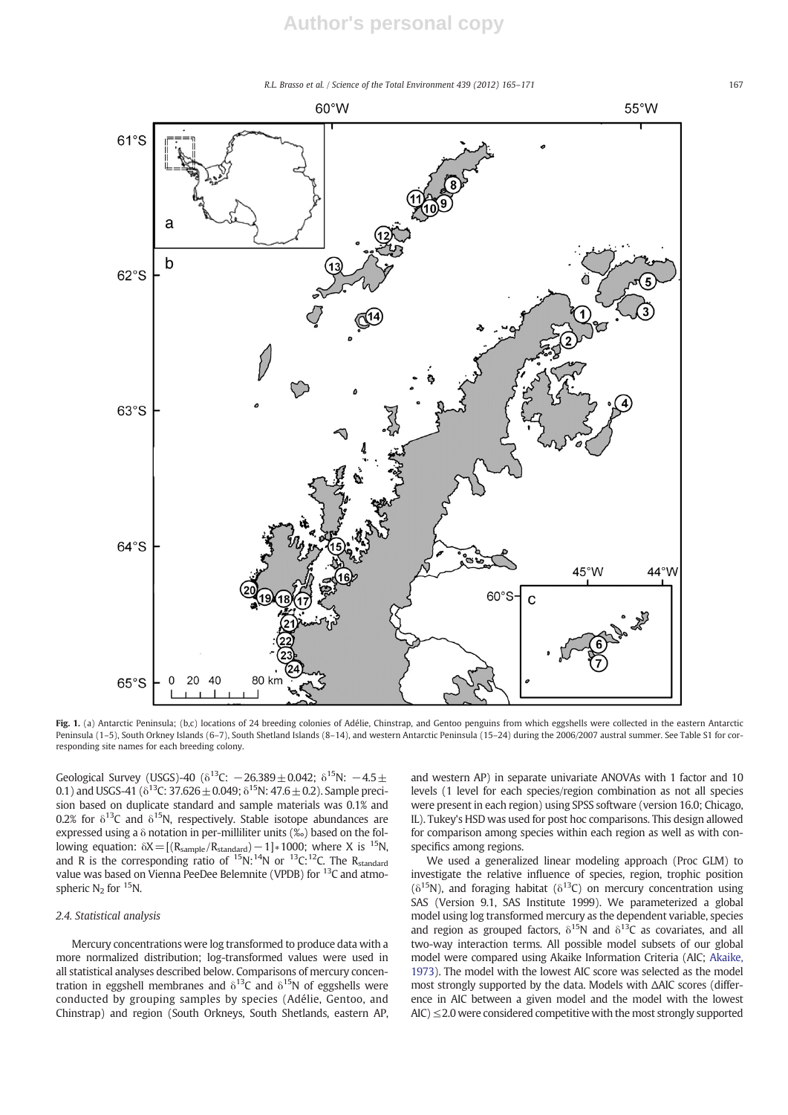

Fig. 1. (a) Antarctic Peninsula; (b,c) locations of 24 breeding colonies of Adélie, Chinstrap, and Gentoo penguins from which eggshells were collected in the eastern Antarctic Peninsula (1-5), South Orkney Islands (6-7), South Shetland Islands (8-14), and western Antarctic Peninsula (15-24) during the 2006/2007 austral summer. See Table S1 for corresponding site names for each breeding colony.

Geological Survey (USGS)-40 ( $\delta^{13}$ C: −26.389 + 0.042;  $\delta^{15}$ N: −4.5 + 0.1) and USGS-41 ( $\delta^{13}$ C: 37.626  $\pm$  0.049;  $\delta^{15}$ N: 47.6  $\pm$  0.2). Sample precision based on duplicate standard and sample materials was 0.1% and 0.2% for  $\delta^{13}$ C and  $\delta^{15}$ N, respectively. Stable isotope abundances are expressed using a δ notation in per-milliliter units (‰) based on the following equation:  $\delta X = [(R_{sample}/R_{standard})-1]*1000$ ; where X is <sup>15</sup>N, and R is the corresponding ratio of  ${}^{15}N$ :<sup>14</sup>N or  ${}^{13}C$ :<sup>12</sup>C. The R<sub>standard</sub> value was based on Vienna PeeDee Belemnite (VPDB) for 13C and atmospheric  $N_2$  for  $15N$ .

#### 2.4. Statistical analysis

Mercury concentrations were log transformed to produce data with a more normalized distribution; log-transformed values were used in all statistical analyses described below. Comparisons of mercury concentration in eggshell membranes and  $\delta^{13}C$  and  $\delta^{15}N$  of eggshells were conducted by grouping samples by species (Adélie, Gentoo, and Chinstrap) and region (South Orkneys, South Shetlands, eastern AP, and western AP) in separate univariate ANOVAs with 1 factor and 10 levels (1 level for each species/region combination as not all species were present in each region) using SPSS software (version 16.0; Chicago, IL). Tukey's HSD was used for post hoc comparisons. This design allowed for comparison among species within each region as well as with conspecifics among regions.

We used a generalized linear modeling approach (Proc GLM) to investigate the relative influence of species, region, trophic position  $(\delta^{15}N)$ , and foraging habitat  $(\delta^{13}C)$  on mercury concentration using SAS (Version 9.1, SAS Institute 1999). We parameterized a global model using log transformed mercury as the dependent variable, species and region as grouped factors,  $\delta^{15}N$  and  $\delta^{13}C$  as covariates, and all two-way interaction terms. All possible model subsets of our global model were compared using Akaike Information Criteria (AIC; Akaike, 1973). The model with the lowest AIC score was selected as the model most strongly supported by the data. Models with ΔAIC scores (difference in AIC between a given model and the model with the lowest  $AIC$ )  $\leq$  2.0 were considered competitive with the most strongly supported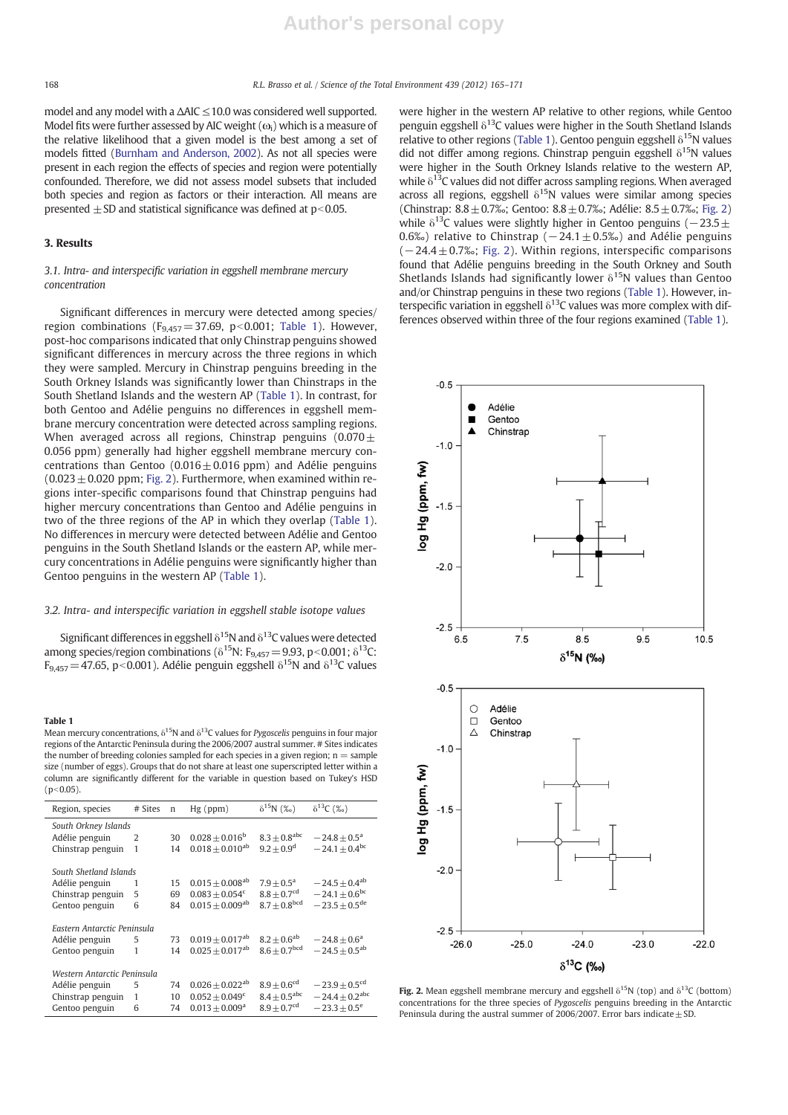model and any model with a ΔAIC ≤10.0 was considered well supported. Model fits were further assessed by AIC weight  $(\omega_i)$  which is a measure of the relative likelihood that a given model is the best among a set of models fitted (Burnham and Anderson, 2002). As not all species were present in each region the effects of species and region were potentially confounded. Therefore, we did not assess model subsets that included both species and region as factors or their interaction. All means are presented  $+$  SD and statistical significance was defined at  $p<0.05$ .

#### 3. Results

# 3.1. Intra- and interspecific variation in eggshell membrane mercury concentration

Significant differences in mercury were detected among species/ region combinations ( $F_{9,457}$  = 37.69, p<0.001; Table 1). However, post-hoc comparisons indicated that only Chinstrap penguins showed significant differences in mercury across the three regions in which they were sampled. Mercury in Chinstrap penguins breeding in the South Orkney Islands was significantly lower than Chinstraps in the South Shetland Islands and the western AP (Table 1). In contrast, for both Gentoo and Adélie penguins no differences in eggshell membrane mercury concentration were detected across sampling regions. When averaged across all regions, Chinstrap penguins  $(0.070 \pm 1.000)$ 0.056 ppm) generally had higher eggshell membrane mercury concentrations than Gentoo  $(0.016 + 0.016$  ppm) and Adélie penguins  $(0.023 \pm 0.020$  ppm; Fig. 2). Furthermore, when examined within regions inter-specific comparisons found that Chinstrap penguins had higher mercury concentrations than Gentoo and Adélie penguins in two of the three regions of the AP in which they overlap (Table 1). No differences in mercury were detected between Adélie and Gentoo penguins in the South Shetland Islands or the eastern AP, while mercury concentrations in Adélie penguins were significantly higher than Gentoo penguins in the western AP (Table 1).

#### 3.2. Intra- and interspecific variation in eggshell stable isotope values

Significant differences in eggshell  $\delta^{15}N$  and  $\delta^{13}C$  values were detected among species/region combinations ( $\delta^{15}N$ : F<sub>9,457</sub> = 9.93, p<0.001;  $\delta^{13}C$ :  $F_{9,457}$ =47.65, p<0.001). Adélie penguin eggshell  $\delta^{15}N$  and  $\delta^{13}C$  values

#### Table 1

Mean mercury concentrations,  $\delta^{15}N$  and  $\delta^{13}C$  values for *Pygoscelis* penguins in four major regions of the Antarctic Peninsula during the 2006/2007 austral summer. # Sites indicates the number of breeding colonies sampled for each species in a given region;  $n =$  sample size (number of eggs). Groups that do not share at least one superscripted letter within a column are significantly different for the variable in question based on Tukey's HSD  $(p<0.05)$ .

| Region, species             | # Sites | n  | $Hg$ (ppm)                      | $\delta^{15}N$ (%)           | $\delta^{13}C$ (%)            |  |  |
|-----------------------------|---------|----|---------------------------------|------------------------------|-------------------------------|--|--|
| South Orkney Islands        |         |    |                                 |                              |                               |  |  |
| Adélie penguin              | 2       | 30 | $0.028 + 0.016^b$               | $8.3 \pm 0.8$ <sup>abc</sup> | $-24.8 + 0.5^{\rm a}$         |  |  |
| Chinstrap penguin           | 1       | 14 | $0.018 + 0.010^{ab}$            | $9.2 + 0.9^d$                | $-24.1 + 0.4^{\rm bc}$        |  |  |
| South Shetland Islands      |         |    |                                 |                              |                               |  |  |
| Adélie penguin              | 1       | 15 | $0.015 \pm 0.008$ <sup>ab</sup> | $7.9 + 0.5^{\text{a}}$       | $-24.5+0.4^{ab}$              |  |  |
| Chinstrap penguin           | 5       | 69 | $0.083 + 0.054$ <sup>c</sup>    | $8.8 + 0.7$ <sup>cd</sup>    | $-24.1+0.6^{\rm bc}$          |  |  |
| Gentoo penguin              | 6       | 84 | $0.015 + 0.009$ <sup>ab</sup>   | $8.7 + 0.8$ <sub>bcd</sub>   | $-23.5+0.5^{\text{de}}$       |  |  |
|                             |         |    |                                 |                              |                               |  |  |
| Eastern Antarctic Peninsula |         |    |                                 |                              |                               |  |  |
| Adélie penguin              | 5       | 73 | $0.019 + 0.017^{ab}$            | $8.2 + 0.6^{ab}$             | $-24.8 + 0.6^{\rm a}$         |  |  |
| Gentoo penguin              | 1       | 14 | $0.025 + 0.017^{ab}$            | $8.6 + 0.7$ <sup>bcd</sup>   | $-24.5+0.5^{ab}$              |  |  |
| Western Antarctic Peninsula |         |    |                                 |                              |                               |  |  |
| Adélie penguin              | 5       | 74 | $0.026 + 0.022$ <sup>ab</sup>   | $8.9 + 0.6$ <sup>cd</sup>    | $-23.9 \pm 0.5$ <sup>cd</sup> |  |  |
| Chinstrap penguin           | 1       | 10 | $0.052 \pm 0.049$ <sup>c</sup>  | $8.4 + 0.5$ <sup>abc</sup>   | $-24.4+0.2$ <sup>abc</sup>    |  |  |
| Gentoo penguin              | 6       | 74 | $0.013 + 0.009a$                | $8.9 + 0.7$ <sup>cd</sup>    | $-23.3+0.5^e$                 |  |  |

were higher in the western AP relative to other regions, while Gentoo penguin eggshell  $\delta^{13}$ C values were higher in the South Shetland Islands relative to other regions (Table 1). Gentoo penguin eggshell  $\delta^{15}N$  values did not differ among regions. Chinstrap penguin eggshell  $\delta^{15}N$  values were higher in the South Orkney Islands relative to the western AP, while  $\delta^{13}$ C values did not differ across sampling regions. When averaged across all regions, eggshell  $\delta^{15}$ N values were similar among species (Chinstrap:  $8.8 \pm 0.7\%$ ; Gentoo:  $8.8 \pm 0.7\%$ ; Adélie:  $8.5 \pm 0.7\%$ ; Fig. 2) while  $\delta^{13}$ C values were slightly higher in Gentoo penguins ( $-23.5\pm$ 0.6‰) relative to Chinstrap ( $-24.1 \pm 0.5$ ‰) and Adélie penguins  $(-24.4 \pm 0.7\%)$ ; Fig. 2). Within regions, interspecific comparisons found that Adélie penguins breeding in the South Orkney and South Shetlands Islands had significantly lower  $\delta^{15}N$  values than Gentoo and/or Chinstrap penguins in these two regions (Table 1). However, interspecific variation in eggshell  $\delta^{13}$ C values was more complex with differences observed within three of the four regions examined (Table 1).



Fig. 2. Mean eggshell membrane mercury and eggshell  $\delta^{15}N$  (top) and  $\delta^{13}C$  (bottom) concentrations for the three species of Pygoscelis penguins breeding in the Antarctic Peninsula during the austral summer of 2006/2007. Error bars indicate  $\pm$  SD.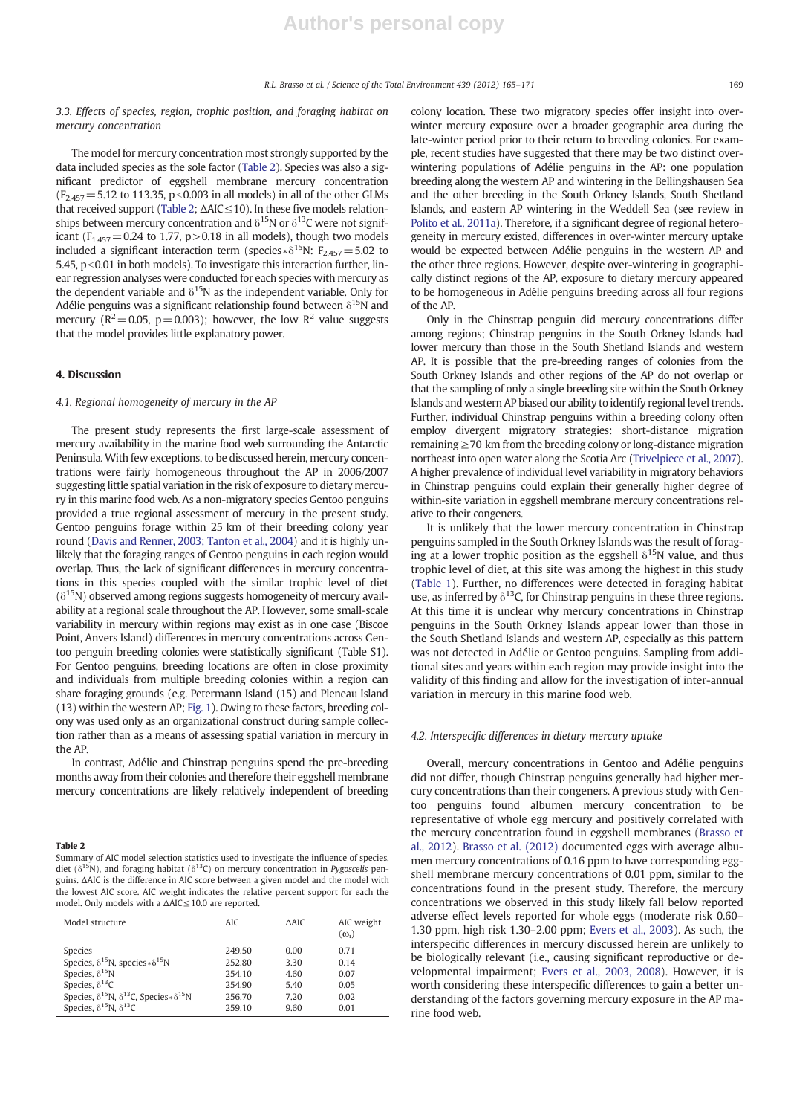3.3. Effects of species, region, trophic position, and foraging habitat on mercury concentration

The model for mercury concentration most strongly supported by the data included species as the sole factor (Table 2). Species was also a significant predictor of eggshell membrane mercury concentration  $(F_{2,457} = 5.12$  to 113.35, p<0.003 in all models) in all of the other GLMs that received support (Table 2; ΔAIC ≤ 10). In these five models relationships between mercury concentration and  $\delta^{15}N$  or  $\delta^{13}C$  were not significant ( $F_{1,457}=0.24$  to 1.77, p > 0.18 in all models), though two models included a significant interaction term (species∗ $\delta^{15}N$ : F<sub>2,457</sub> = 5.02 to 5.45,  $p<0.01$  in both models). To investigate this interaction further, linear regression analyses were conducted for each species with mercury as the dependent variable and  $\delta^{15}N$  as the independent variable. Only for Adélie penguins was a significant relationship found between  $\delta^{15}N$  and mercury ( $R^2=0.05$ ,  $p=0.003$ ); however, the low  $R^2$  value suggests that the model provides little explanatory power.

#### 4. Discussion

# 4.1. Regional homogeneity of mercury in the AP

The present study represents the first large-scale assessment of mercury availability in the marine food web surrounding the Antarctic Peninsula. With few exceptions, to be discussed herein, mercury concentrations were fairly homogeneous throughout the AP in 2006/2007 suggesting little spatial variation in the risk of exposure to dietary mercury in this marine food web. As a non-migratory species Gentoo penguins provided a true regional assessment of mercury in the present study. Gentoo penguins forage within 25 km of their breeding colony year round (Davis and Renner, 2003; Tanton et al., 2004) and it is highly unlikely that the foraging ranges of Gentoo penguins in each region would overlap. Thus, the lack of significant differences in mercury concentrations in this species coupled with the similar trophic level of diet  $(\delta^{15}N)$  observed among regions suggests homogeneity of mercury availability at a regional scale throughout the AP. However, some small-scale variability in mercury within regions may exist as in one case (Biscoe Point, Anvers Island) differences in mercury concentrations across Gentoo penguin breeding colonies were statistically significant (Table S1). For Gentoo penguins, breeding locations are often in close proximity and individuals from multiple breeding colonies within a region can share foraging grounds (e.g. Petermann Island (15) and Pleneau Island (13) within the western AP; Fig. 1). Owing to these factors, breeding colony was used only as an organizational construct during sample collection rather than as a means of assessing spatial variation in mercury in the AP.

In contrast, Adélie and Chinstrap penguins spend the pre-breeding months away from their colonies and therefore their eggshell membrane mercury concentrations are likely relatively independent of breeding

#### Table 2

Summary of AIC model selection statistics used to investigate the influence of species, diet ( $\delta^{15}$ N), and foraging habitat ( $\delta^{13}$ C) on mercury concentration in *Pygoscelis* penguins. ΔAIC is the difference in AIC score between a given model and the model with the lowest AIC score. AIC weight indicates the relative percent support for each the model. Only models with a ΔAIC≤10.0 are reported.

| Model structure                                                        | AIC.   | AAIC. | AIC weight<br>$(\omega_i)$ |
|------------------------------------------------------------------------|--------|-------|----------------------------|
| Species                                                                | 249.50 | 0.00  | 0.71                       |
| Species, $\delta^{15}$ N, species $\delta^{15}$ N                      | 252.80 | 3.30  | 0.14                       |
| Species, $\delta^{15}N$                                                | 254.10 | 4.60  | 0.07                       |
| Species, $\delta^{13}C$                                                | 254.90 | 5.40  | 0.05                       |
| Species, $\delta^{15}N$ , $\delta^{13}C$ , Species $\ast \delta^{15}N$ | 256.70 | 7.20  | 0.02                       |
| Species, $\delta^{15}$ N, $\delta^{13}$ C                              | 259.10 | 9.60  | 0.01                       |

colony location. These two migratory species offer insight into overwinter mercury exposure over a broader geographic area during the late-winter period prior to their return to breeding colonies. For example, recent studies have suggested that there may be two distinct overwintering populations of Adélie penguins in the AP: one population breeding along the western AP and wintering in the Bellingshausen Sea and the other breeding in the South Orkney Islands, South Shetland Islands, and eastern AP wintering in the Weddell Sea (see review in Polito et al., 2011a). Therefore, if a significant degree of regional heterogeneity in mercury existed, differences in over-winter mercury uptake would be expected between Adélie penguins in the western AP and the other three regions. However, despite over-wintering in geographically distinct regions of the AP, exposure to dietary mercury appeared to be homogeneous in Adélie penguins breeding across all four regions of the AP.

Only in the Chinstrap penguin did mercury concentrations differ among regions; Chinstrap penguins in the South Orkney Islands had lower mercury than those in the South Shetland Islands and western AP. It is possible that the pre-breeding ranges of colonies from the South Orkney Islands and other regions of the AP do not overlap or that the sampling of only a single breeding site within the South Orkney Islands and western AP biased our ability to identify regional level trends. Further, individual Chinstrap penguins within a breeding colony often employ divergent migratory strategies: short-distance migration remaining  $\geq$  70 km from the breeding colony or long-distance migration northeast into open water along the Scotia Arc (Trivelpiece et al., 2007). A higher prevalence of individual level variability in migratory behaviors in Chinstrap penguins could explain their generally higher degree of within-site variation in eggshell membrane mercury concentrations relative to their congeners.

It is unlikely that the lower mercury concentration in Chinstrap penguins sampled in the South Orkney Islands was the result of foraging at a lower trophic position as the eggshell  $\delta^{15}N$  value, and thus trophic level of diet, at this site was among the highest in this study (Table 1). Further, no differences were detected in foraging habitat use, as inferred by  $\delta^{13}$ C, for Chinstrap penguins in these three regions. At this time it is unclear why mercury concentrations in Chinstrap penguins in the South Orkney Islands appear lower than those in the South Shetland Islands and western AP, especially as this pattern was not detected in Adélie or Gentoo penguins. Sampling from additional sites and years within each region may provide insight into the validity of this finding and allow for the investigation of inter-annual variation in mercury in this marine food web.

# 4.2. Interspecific differences in dietary mercury uptake

Overall, mercury concentrations in Gentoo and Adélie penguins did not differ, though Chinstrap penguins generally had higher mercury concentrations than their congeners. A previous study with Gentoo penguins found albumen mercury concentration to be representative of whole egg mercury and positively correlated with the mercury concentration found in eggshell membranes (Brasso et al., 2012). Brasso et al. (2012) documented eggs with average albumen mercury concentrations of 0.16 ppm to have corresponding eggshell membrane mercury concentrations of 0.01 ppm, similar to the concentrations found in the present study. Therefore, the mercury concentrations we observed in this study likely fall below reported adverse effect levels reported for whole eggs (moderate risk 0.60– 1.30 ppm, high risk 1.30–2.00 ppm; Evers et al., 2003). As such, the interspecific differences in mercury discussed herein are unlikely to be biologically relevant (i.e., causing significant reproductive or developmental impairment; Evers et al., 2003, 2008). However, it is worth considering these interspecific differences to gain a better understanding of the factors governing mercury exposure in the AP marine food web.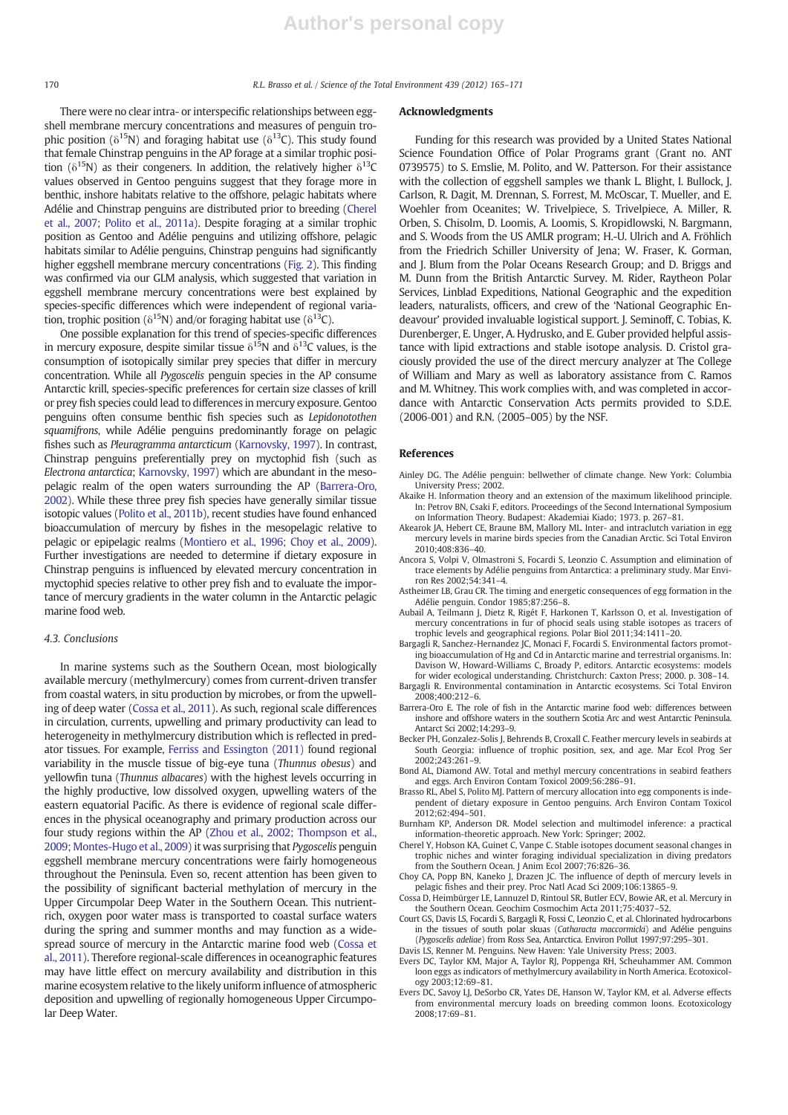#### 170 R.L. Brasso et al. / Science of the Total Environment 439 (2012) 165–171

There were no clear intra- or interspecific relationships between eggshell membrane mercury concentrations and measures of penguin trophic position ( $\delta^{15}N$ ) and foraging habitat use ( $\delta^{13}C$ ). This study found that female Chinstrap penguins in the AP forage at a similar trophic position ( $\delta^{15}$ N) as their congeners. In addition, the relatively higher  $\delta^{13}$ C values observed in Gentoo penguins suggest that they forage more in benthic, inshore habitats relative to the offshore, pelagic habitats where Adélie and Chinstrap penguins are distributed prior to breeding (Cherel et al., 2007; Polito et al., 2011a). Despite foraging at a similar trophic position as Gentoo and Adélie penguins and utilizing offshore, pelagic habitats similar to Adélie penguins, Chinstrap penguins had significantly higher eggshell membrane mercury concentrations (Fig. 2). This finding was confirmed via our GLM analysis, which suggested that variation in eggshell membrane mercury concentrations were best explained by species-specific differences which were independent of regional variation, trophic position ( $\delta^{15}N$ ) and/or foraging habitat use ( $\delta^{13}C$ ).

One possible explanation for this trend of species-specific differences in mercury exposure, despite similar tissue  $\delta^{15}N$  and  $\delta^{13}C$  values, is the consumption of isotopically similar prey species that differ in mercury concentration. While all Pygoscelis penguin species in the AP consume Antarctic krill, species-specific preferences for certain size classes of krill or prey fish species could lead to differences in mercury exposure. Gentoo penguins often consume benthic fish species such as Lepidonotothen squamifrons, while Adélie penguins predominantly forage on pelagic fishes such as Pleuragramma antarcticum (Karnovsky, 1997). In contrast, Chinstrap penguins preferentially prey on myctophid fish (such as Electrona antarctica; Karnovsky, 1997) which are abundant in the mesopelagic realm of the open waters surrounding the AP (Barrera-Oro, 2002). While these three prey fish species have generally similar tissue isotopic values (Polito et al., 2011b), recent studies have found enhanced bioaccumulation of mercury by fishes in the mesopelagic relative to pelagic or epipelagic realms (Montiero et al., 1996; Choy et al., 2009). Further investigations are needed to determine if dietary exposure in Chinstrap penguins is influenced by elevated mercury concentration in myctophid species relative to other prey fish and to evaluate the importance of mercury gradients in the water column in the Antarctic pelagic marine food web.

## 4.3. Conclusions

In marine systems such as the Southern Ocean, most biologically available mercury (methylmercury) comes from current-driven transfer from coastal waters, in situ production by microbes, or from the upwelling of deep water (Cossa et al., 2011). As such, regional scale differences in circulation, currents, upwelling and primary productivity can lead to heterogeneity in methylmercury distribution which is reflected in predator tissues. For example, Ferriss and Essington (2011) found regional variability in the muscle tissue of big-eye tuna (Thunnus obesus) and yellowfin tuna (Thunnus albacares) with the highest levels occurring in the highly productive, low dissolved oxygen, upwelling waters of the eastern equatorial Pacific. As there is evidence of regional scale differences in the physical oceanography and primary production across our four study regions within the AP (Zhou et al., 2002; Thompson et al., 2009; Montes-Hugo et al., 2009) it was surprising that Pygoscelis penguin eggshell membrane mercury concentrations were fairly homogeneous throughout the Peninsula. Even so, recent attention has been given to the possibility of significant bacterial methylation of mercury in the Upper Circumpolar Deep Water in the Southern Ocean. This nutrientrich, oxygen poor water mass is transported to coastal surface waters during the spring and summer months and may function as a widespread source of mercury in the Antarctic marine food web (Cossa et al., 2011). Therefore regional-scale differences in oceanographic features may have little effect on mercury availability and distribution in this marine ecosystem relative to the likely uniform influence of atmospheric deposition and upwelling of regionally homogeneous Upper Circumpolar Deep Water.

#### Acknowledgments

Funding for this research was provided by a United States National Science Foundation Office of Polar Programs grant (Grant no. ANT 0739575) to S. Emslie, M. Polito, and W. Patterson. For their assistance with the collection of eggshell samples we thank L. Blight, I. Bullock, J. Carlson, R. Dagit, M. Drennan, S. Forrest, M. McOscar, T. Mueller, and E. Woehler from Oceanites; W. Trivelpiece, S. Trivelpiece, A. Miller, R. Orben, S. Chisolm, D. Loomis, A. Loomis, S. Kropidlowski, N. Bargmann, and S. Woods from the US AMLR program; H.-U. Ulrich and A. Fröhlich from the Friedrich Schiller University of Jena; W. Fraser, K. Gorman, and J. Blum from the Polar Oceans Research Group; and D. Briggs and M. Dunn from the British Antarctic Survey. M. Rider, Raytheon Polar Services, Linblad Expeditions, National Geographic and the expedition leaders, naturalists, officers, and crew of the 'National Geographic Endeavour' provided invaluable logistical support. J. Seminoff, C. Tobias, K. Durenberger, E. Unger, A. Hydrusko, and E. Guber provided helpful assistance with lipid extractions and stable isotope analysis. D. Cristol graciously provided the use of the direct mercury analyzer at The College of William and Mary as well as laboratory assistance from C. Ramos and M. Whitney. This work complies with, and was completed in accordance with Antarctic Conservation Acts permits provided to S.D.E. (2006‐001) and R.N. (2005–005) by the NSF.

#### References

- Ainley DG. The Adélie penguin: bellwether of climate change. New York: Columbia University Press; 2002.
- Akaike H. Information theory and an extension of the maximum likelihood principle. In: Petrov BN, Csaki F, editors. Proceedings of the Second International Symposium on Information Theory. Budapest: Akademiai Kiado; 1973. p. 267–81.
- Akearok JA, Hebert CE, Braune BM, Mallory ML. Inter- and intraclutch variation in egg mercury levels in marine birds species from the Canadian Arctic. Sci Total Environ 2010;408:836–40.
- Ancora S, Volpi V, Olmastroni S, Focardi S, Leonzio C. Assumption and elimination of trace elements by Adélie penguins from Antarctica: a preliminary study. Mar Environ Res 2002;54:341–4.
- Astheimer LB, Grau CR. The timing and energetic consequences of egg formation in the Adélie penguin. Condor 1985;87:256–8.
- Aubail A, Teilmann J, Dietz R, Rigét F, Harkonen T, Karlsson O, et al. Investigation of mercury concentrations in fur of phocid seals using stable isotopes as tracers of trophic levels and geographical regions. Polar Biol 2011;34:1411–20.
- Bargagli R, Sanchez-Hernandez JC, Monaci F, Focardi S. Environmental factors promoting bioaccumulation of Hg and Cd in Antarctic marine and terrestrial organisms. In: Davison W, Howard-Williams C, Broady P, editors. Antarctic ecosystems: models for wider ecological understanding. Christchurch: Caxton Press; 2000. p. 308–14.
- Bargagli R. Environmental contamination in Antarctic ecosystems. Sci Total Environ 2008;400:212–6.
- Barrera-Oro E. The role of fish in the Antarctic marine food web: differences between inshore and offshore waters in the southern Scotia Arc and west Antarctic Peninsula. Antarct Sci 2002;14:293–9.
- Becker PH, Gonzalez-Solis J, Behrends B, Croxall C. Feather mercury levels in seabirds at South Georgia: influence of trophic position, sex, and age. Mar Ecol Prog Ser 2002;243:261–9.
- Bond AL, Diamond AW. Total and methyl mercury concentrations in seabird feathers and eggs. Arch Environ Contam Toxicol 2009;56:286–91.
- Brasso RL, Abel S, Polito MJ. Pattern of mercury allocation into egg components is independent of dietary exposure in Gentoo penguins. Arch Environ Contam Toxicol 2012;62:494–501.
- Burnham KP, Anderson DR. Model selection and multimodel inference: a practical information-theoretic approach. New York: Springer; 2002.
- Cherel Y, Hobson KA, Guinet C, Vanpe C. Stable isotopes document seasonal changes in trophic niches and winter foraging individual specialization in diving predators from the Southern Ocean. J Anim Ecol 2007;76:826-36.
- Choy CA, Popp BN, Kaneko J, Drazen JC. The influence of depth of mercury levels in pelagic fishes and their prey. Proc Natl Acad Sci 2009;106:13865–9.
- Cossa D, Heimbürger LE, Lannuzel D, Rintoul SR, Butler ECV, Bowie AR, et al. Mercury in the Southern Ocean. Geochim Cosmochim Acta 2011;75:4037–52.
- Court GS, Davis LS, Focardi S, Bargagli R, Fossi C, Leonzio C, et al. Chlorinated hydrocarbons in the tissues of south polar skuas (Catharacta maccormicki) and Adélie penguins (Pygoscelis adeliae) from Ross Sea, Antarctica. Environ Pollut 1997;97:295–301.
- Davis LS, Renner M. Penguins. New Haven: Yale University Press; 2003.
- Evers DC, Taylor KM, Major A, Taylor RJ, Poppenga RH, Scheuhammer AM. Common loon eggs as indicators of methylmercury availability in North America. Ecotoxicology 2003;12:69–81.
- Evers DC, Savoy LJ, DeSorbo CR, Yates DE, Hanson W, Taylor KM, et al. Adverse effects from environmental mercury loads on breeding common loons. Ecotoxicology 2008;17:69–81.